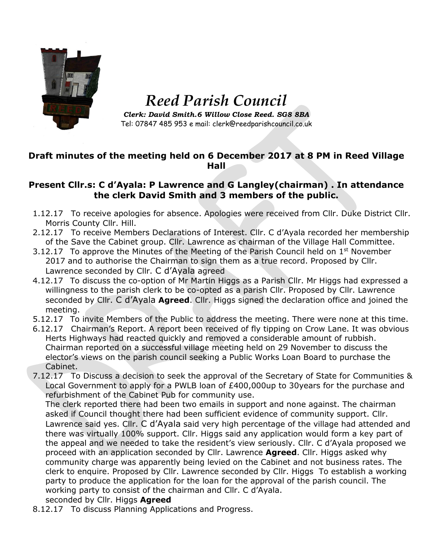

## *Reed Parish Council*

*Clerk: David Smith.6 Willow Close Reed. SG8 8BA* Tel: 07847 485 953 e mail: clerk@reedparishcouncil.co.uk

## **Draft minutes of the meeting held on 6 December 2017 at 8 PM in Reed Village Hall**

## **Present Cllr.s: C d'Ayala: P Lawrence and G Langley(chairman) . In attendance the clerk David Smith and 3 members of the public.**

- 1.12.17 To receive apologies for absence. Apologies were received from Cllr. Duke District Cllr. Morris County Cllr. Hill.
- 2.12.17 To receive Members Declarations of Interest. Cllr. C d'Ayala recorded her membership of the Save the Cabinet group. Cllr. Lawrence as chairman of the Village Hall Committee.
- 3.12.17 To approve the Minutes of the Meeting of the Parish Council held on  $1<sup>st</sup>$  November 2017 and to authorise the Chairman to sign them as a true record. Proposed by Cllr. Lawrence seconded by Cllr. C d'Ayala agreed
- 4.12.17 To discuss the co-option of Mr Martin Higgs as a Parish Cllr. Mr Higgs had expressed a willingness to the parish clerk to be co-opted as a parish Cllr. Proposed by Cllr. Lawrence seconded by Cllr. C d'Ayala **Agreed**. Cllr. Higgs signed the declaration office and joined the meeting.
- 5.12.17 To invite Members of the Public to address the meeting. There were none at this time.
- 6.12.17 Chairman's Report. A report been received of fly tipping on Crow Lane. It was obvious Herts Highways had reacted quickly and removed a considerable amount of rubbish. Chairman reported on a successful village meeting held on 29 November to discuss the elector's views on the parish council seeking a Public Works Loan Board to purchase the Cabinet.
- 7.12.17 To Discuss a decision to seek the approval of the Secretary of State for Communities & Local Government to apply for a PWLB loan of £400,000up to 30years for the purchase and refurbishment of the Cabinet Pub for community use.

The clerk reported there had been two emails in support and none against. The chairman asked if Council thought there had been sufficient evidence of community support. Cllr. Lawrence said yes. Cllr. C d'Ayala said very high percentage of the village had attended and there was virtually 100% support. Cllr. Higgs said any application would form a key part of the appeal and we needed to take the resident's view seriously. Cllr. C d'Ayala proposed we proceed with an application seconded by Cllr. Lawrence **Agreed**. Cllr. Higgs asked why community charge was apparently being levied on the Cabinet and not business rates. The clerk to enquire. Proposed by Cllr. Lawrence seconded by Cllr. Higgs To establish a working party to produce the application for the loan for the approval of the parish council. The working party to consist of the chairman and Cllr. C d'Ayala. seconded by Cllr. Higgs **Agreed**

8.12.17 To discuss Planning Applications and Progress.